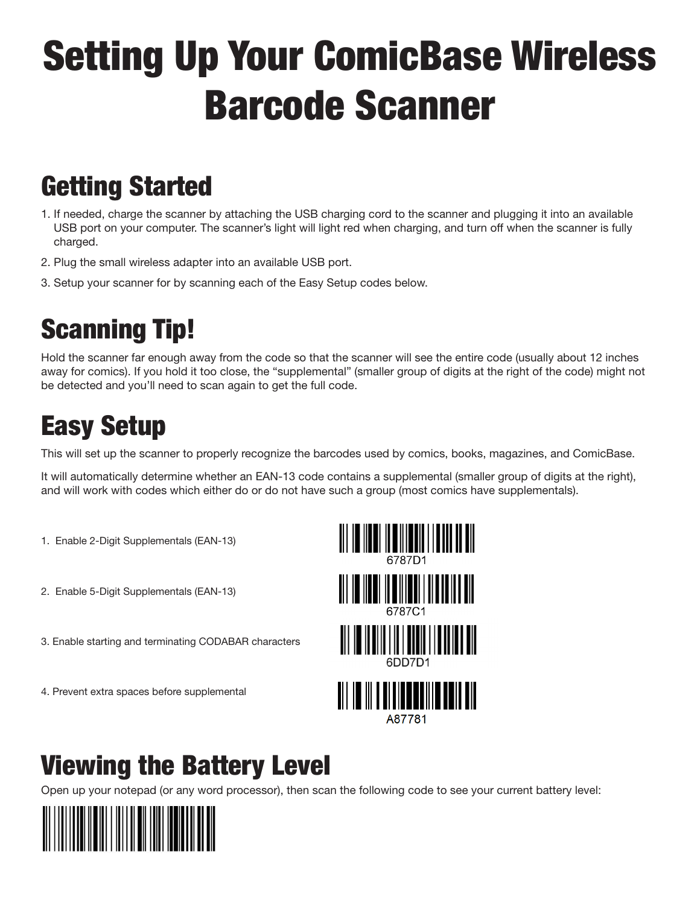# Setting Up Your ComicBase Wireless Barcode Scanner

#### Getting Started

- 1. If needed, charge the scanner by attaching the USB charging cord to the scanner and plugging it into an available USB port on your computer. The scanner's light will light red when charging, and turn off when the scanner is fully charged.
- 2. Plug the small wireless adapter into an available USB port.
- 3. Setup your scanner for by scanning each of the Easy Setup codes below.

## Scanning Tip!

Hold the scanner far enough away from the code so that the scanner will see the entire code (usually about 12 inches away for comics). If you hold it too close, the "supplemental" (smaller group of digits at the right of the code) might not be detected and you'll need to scan again to get the full code.

### Easy Setup

This will set up the scanner to properly recognize the barcodes used by comics, books, magazines, and ComicBase.

It will automatically determine whether an EAN-13 code contains a supplemental (smaller group of digits at the right), and will work with codes which either do or do not have such a group (most comics have supplementals).

- 1. Enable 2-Digit Supplementals (EAN-13)
- 2. Enable 5-Digit Supplementals (EAN-13)
- 3. Enable starting and terminating CODABAR characters
- 4. Prevent extra spaces before supplemental



#### Viewing the Battery Level

Open up your notepad (or any word processor), then scan the following code to see your current battery level: